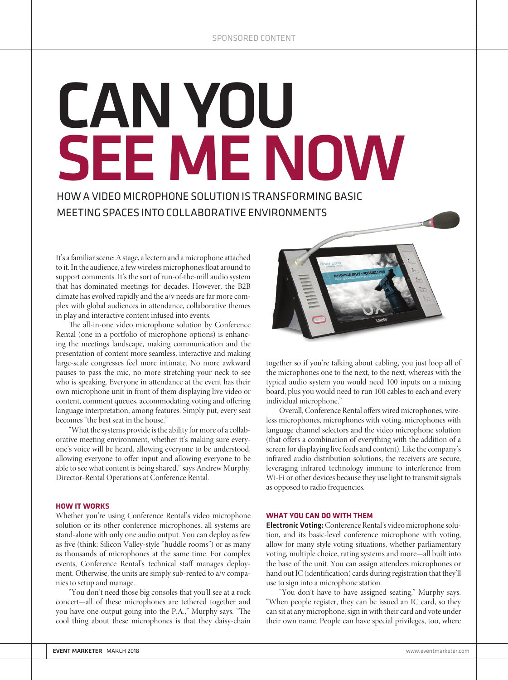## CAN YOU SEE ME NOW

HOW A VIDEO MICROPHONE SOLUTION IS TRANSFORMING BASIC MEETING SPACES INTO COLLABORATIVE ENVIRONMENTS

It's a familiar scene: A stage, a lectern and a microphone attached to it. In the audience, a few wireless microphones float around to support comments. It's the sort of run-of-the-mill audio system that has dominated meetings for decades. However, the B2B climate has evolved rapidly and the a/v needs are far more complex with global audiences in attendance, collaborative themes in play and interactive content infused into events.

The all-in-one video microphone solution by Conference Rental (one in a portfolio of microphone options) is enhancing the meetings landscape, making communication and the presentation of content more seamless, interactive and making large-scale congresses feel more intimate. No more awkward pauses to pass the mic, no more stretching your neck to see who is speaking. Everyone in attendance at the event has their own microphone unit in front of them displaying live video or content, comment queues, accommodating voting and offering language interpretation, among features. Simply put, every seat becomes "the best seat in the house."

"What the systems provide is the ability for more of a collaborative meeting environment, whether it's making sure everyone's voice will be heard, allowing everyone to be understood, allowing everyone to offer input and allowing everyone to be able to see what content is being shared," says Andrew Murphy, Director-Rental Operations at Conference Rental.

## **HOW IT WORKS**

Whether you're using Conference Rental's video microphone solution or its other conference microphones, all systems are stand-alone with only one audio output. You can deploy as few as five (think: Silicon Valley-style "huddle rooms") or as many as thousands of microphones at the same time. For complex events, Conference Rental's technical staff manages deployment. Otherwise, the units are simply sub-rented to a/v companies to setup and manage.

"You don't need those big consoles that you'll see at a rock concert—all of these microphones are tethered together and you have one output going into the P.A.," Murphy says. "The cool thing about these microphones is that they daisy-chain



together so if you're talking about cabling, you just loop all of the microphones one to the next, to the next, whereas with the typical audio system you would need 100 inputs on a mixing board, plus you would need to run 100 cables to each and every individual microphone."

Overall, Conference Rental offers wired microphones, wireless microphones, microphones with voting, microphones with language channel selectors and the video microphone solution (that offers a combination of everything with the addition of a screen for displaying live feeds and content). Like the company's infrared audio distribution solutions, the receivers are secure, leveraging infrared technology immune to interference from Wi-Fi or other devices because they use light to transmit signals as opposed to radio frequencies.

## **WHAT YOU CAN DO WITH THEM**

Electronic Voting: Conference Rental's video microphone solution, and its basic-level conference microphone with voting, allow for many style voting situations, whether parliamentary voting, multiple choice, rating systems and more—all built into the base of the unit. You can assign attendees microphones or hand out IC (identification) cards during registration that they'll use to sign into a microphone station.

"You don't have to have assigned seating," Murphy says. "When people register, they can be issued an IC card, so they can sit at any microphone, sign in with their card and vote under their own name. People can have special privileges, too, where